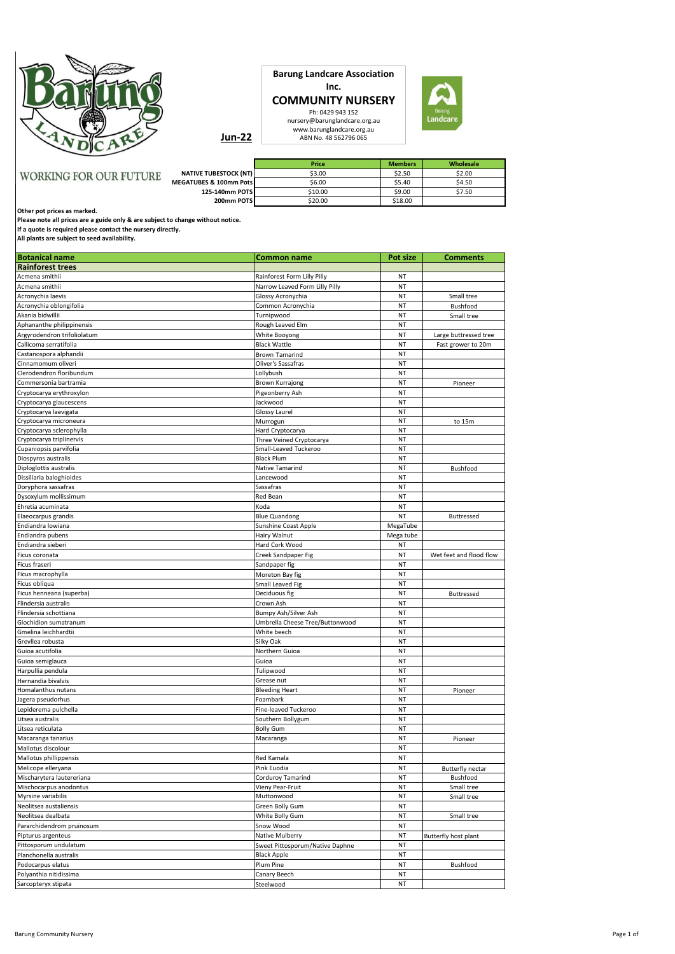

**COMMUNITY NURSERY**  Ph: 0429 943 152 nursery@barunglandcare.org.au www.barunglandcare.org.au ABN No. 48 562796 065



**Jun-22**

|                               |                              | Price   | <b>Members</b> | Wholesale |
|-------------------------------|------------------------------|---------|----------------|-----------|
| <b>WORKING FOR OUR FUTURE</b> | <b>NATIVE TUBESTOCK (NT)</b> | \$3.00  | \$2.50         | \$2.00    |
|                               | MEGATUBES & 100mm Pots       | \$6.00  | \$5.40         | \$4.50    |
|                               | 125-140mm POTS               | \$10.00 | \$9.00         | \$7.50    |
|                               | 200mm POTS                   | \$20.00 | \$18.00        |           |

**Barung Landcare Association Inc.**

**Other pot prices as marked.**

**Please note all prices are a guide only & are subject to change without notice.**

**If a quote is required please contact the nursery directly.**

**All plants are subject to seed availability.**

| <b>Botanical name</b>       | <b>Common name</b>              | Pot size  | <b>Comments</b>         |
|-----------------------------|---------------------------------|-----------|-------------------------|
| <b>Rainforest trees</b>     |                                 |           |                         |
| Acmena smithii              | Rainforest Form Lilly Pilly     | NT        |                         |
| Acmena smithii              | Narrow Leaved Form Lilly Pilly  | NT        |                         |
| Acronychia laevis           | Glossy Acronychia               | NT        | Small tree              |
| Acronychia oblongifolia     | Common Acronychia               | <b>NT</b> | Bushfood                |
| Akania bidwillii            | Turnipwood                      | NT        | Small tree              |
| Aphananthe philippinensis   | Rough Leaved Elm                | NT        |                         |
| Argyrodendron trifoliolatum | White Booyong                   | <b>NT</b> | Large buttressed tree   |
| Callicoma serratifolia      | <b>Black Wattle</b>             | NT        | Fast grower to 20m      |
| Castanospora alphandii      | Brown Tamarind                  | NT        |                         |
| Cinnamomum oliveri          | Oliver's Sassafras              | NT        |                         |
| Clerodendron floribundum    | Lollybush                       | NT        |                         |
| Commersonia bartramia       | <b>Brown Kurrajong</b>          | NT        | Pioneer                 |
| Cryptocarya erythroxylon    | Pigeonberry Ash                 | NT        |                         |
| Cryptocarya glaucescens     | Jackwood                        | NT        |                         |
| Cryptocarya laevigata       | Glossy Laurel                   | NT        |                         |
| Cryptocarya microneura      | Murrogun                        | NT        | to 15m                  |
| Cryptocarya sclerophylla    | Hard Cryptocarya                | NT        |                         |
| Cryptocarya triplinervis    | Three Veined Cryptocarya        | NT        |                         |
| Cupaniopsis parvifolia      | Small-Leaved Tuckeroo           | NT        |                         |
| Diospyros australis         | <b>Black Plum</b>               | NT        |                         |
| Diploglottis australis      | Native Tamarind                 | NT        | Bushfood                |
| Dissiliaria baloghioides    | Lancewood                       | NT        |                         |
| Doryphora sassafras         | Sassafras                       | NT        |                         |
| Dysoxylum mollissimum       | Red Bean                        | NT        |                         |
| Ehretia acuminata           | Koda                            | NT        |                         |
| Elaeocarpus grandis         | <b>Blue Quandong</b>            | NT        | Buttressed              |
| Endiandra lowiana           | Sunshine Coast Apple            | MegaTube  |                         |
| Endiandra pubens            | Hairy Walnut                    | Mega tube |                         |
| Endiandra sieberi           | Hard Cork Wood                  | NT        |                         |
| Ficus coronata              | Creek Sandpaper Fig             | NT        | Wet feet and flood flow |
| Ficus fraseri               | Sandpaper fig                   | NT        |                         |
| Ficus macrophylla           | Moreton Bay fig                 | NT        |                         |
| Ficus obliqua               | Small Leaved Fig                | NT        |                         |
| Ficus henneana (superba)    | Deciduous fig                   | NT        | Buttressed              |
| Flindersia australis        | Crown Ash                       | <b>NT</b> |                         |
| Flindersia schottiana       | Bumpy Ash/Silver Ash            | NT        |                         |
| Glochidion sumatranum       | Umbrella Cheese Tree/Buttonwood | NT        |                         |
| Gmelina leichhardtii        | White beech                     | <b>NT</b> |                         |
| Grevllea robusta            | Silky Oak                       | NT        |                         |
| Guioa acutifolia            | Northern Guioa                  | NT        |                         |
| Guioa semiglauca            | Guioa                           | <b>NT</b> |                         |
| Harpullia pendula           | Tulipwood                       | NT        |                         |
| Hernandia bivalvis          | Grease nut                      | NT        |                         |
| Homalanthus nutans          | <b>Bleeding Heart</b>           | NT        | Pioneer                 |
| Jagera pseudorhus           | Foambark                        | NT        |                         |
| Lepiderema pulchella        | Fine-leaved Tuckeroo            | NT        |                         |
| Litsea australis            | Southern Bollygum               | NT        |                         |
| Litsea reticulata           | <b>Bolly Gum</b>                | NT        |                         |
| Macaranga tanarius          | Macaranga                       | NT        | Pioneer                 |
| Mallotus discolour          |                                 | NT        |                         |
| Mallotus phillippensis      | Red Kamala                      | NT        |                         |
| Melicope elleryana          | Pink Euodia                     | ΝT        | <b>Butterfly nectar</b> |
| Mischarytera lautereriana   | Corduroy Tamarind               | NT        | Bushfood                |
| Mischocarpus anodontus      | Vieny Pear-Fruit                | ΝT        | Small tree              |
| Myrsine variabilis          | Muttonwood                      | NT        | Small tree              |
| Neolitsea austaliensis      | Green Bolly Gum                 | NT        |                         |
| Neolitsea dealbata          | White Bolly Gum                 | NT        | Small tree              |
| Pararchidendrom pruinosum   | Snow Wood                       | ΝT        |                         |
| Pipturus argenteus          | Native Mulberry                 | NT        | Butterfly host plant    |
| Pittosporum undulatum       | Sweet Pittosporum/Native Daphne | NT        |                         |
| Planchonella australis      | <b>Black Apple</b>              | NT        |                         |
| Podocarpus elatus           | Plum Pine                       | NT        | Bushfood                |
| Polyanthia nitidissima      |                                 | NT        |                         |
| Sarcopteryx stipata         | Canary Beech                    | NT        |                         |
|                             | Steelwood                       |           |                         |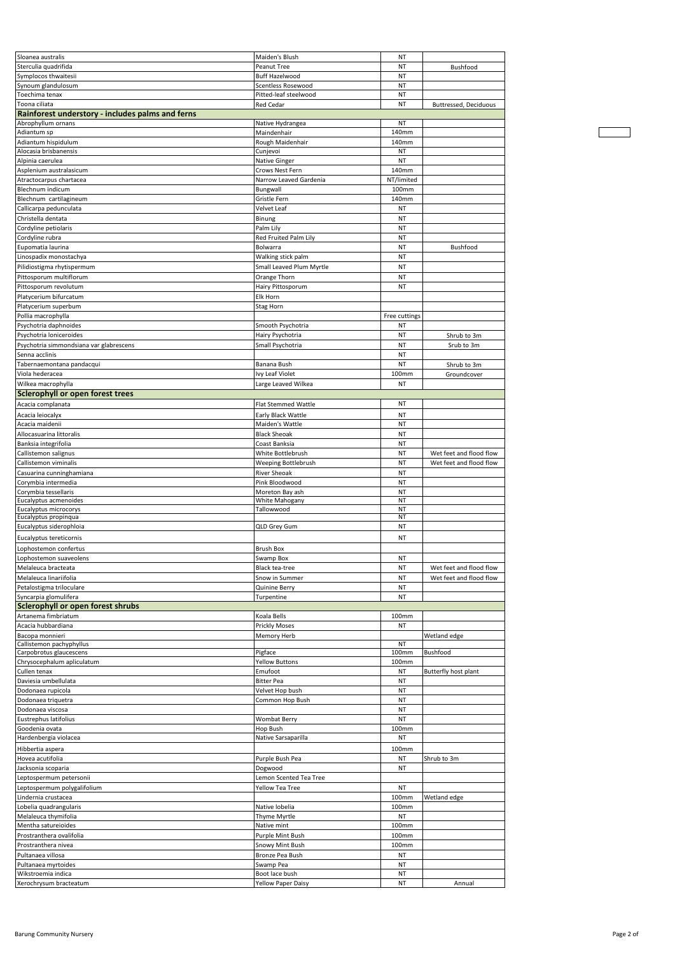| Sloanea australis                                   | Maiden's Blush                   | NT            |                         |
|-----------------------------------------------------|----------------------------------|---------------|-------------------------|
| Sterculia quadrifida                                | Peanut Tree                      | NT            | Bushfood                |
| Symplocos thwaitesii                                | Buff Hazelwood                   | NT            |                         |
| Synoum glandulosum                                  | Scentless Rosewood               | NT            |                         |
| Toechima tenax                                      | Pitted-leaf steelwood            | NT            |                         |
| Toona ciliata                                       | Red Cedar                        | NT            | Buttressed, Deciduous   |
| Rainforest understory - includes palms and ferns    |                                  |               |                         |
| Abrophyllum ornans                                  | Native Hydrangea                 | ΝT            |                         |
| Adiantum sp                                         | Maindenhair                      | 140mm         |                         |
| Adiantum hispidulum<br>Alocasia brisbanensis        | Rough Maidenhair<br>Cunjevoi     | 140mm<br>NT   |                         |
| Alpinia caerulea                                    | Native Ginger                    | NT            |                         |
| Asplenium australasicum                             | Crows Nest Fern                  | 140mm         |                         |
| Atractocarpus chartacea                             | Narrow Leaved Gardenia           | NT/limited    |                         |
| Blechnum indicum                                    | Bungwall                         | 100mm         |                         |
| Blechnum cartilagineum                              | Gristle Fern                     | 140mm         |                         |
| Callicarpa pedunculata                              | Velvet Leaf                      | NT            |                         |
| Christella dentata                                  | Binung                           | NT            |                         |
| Cordyline petiolaris                                | Palm Lily                        | NT            |                         |
| Cordyline rubra                                     | Red Fruited Palm Lily            | NT            |                         |
| Eupomatia laurina                                   | Bolwarra                         | NT            | Bushfood                |
| Linospadix monostachya                              | Walking stick palm               | NT            |                         |
| Pilidiostigma rhytispermum                          | Small Leaved Plum Myrtle         | NT            |                         |
| Pittosporum multiflorum                             | Orange Thorn                     | NT            |                         |
| Pittosporum revolutum                               | Hairy Pittosporum                | NT            |                         |
| Platycerium bifurcatum                              | Elk Horn                         |               |                         |
| Platycerium superbum                                | Stag Horn                        |               |                         |
| Pollia macrophylla                                  |                                  | Free cuttings |                         |
| Psychotria daphnoides                               | Smooth Psychotria                | NT            |                         |
| Psychotria loniceroides                             | Hairy Psychotria                 | NT            | Shrub to 3m             |
| Psychotria simmondsiana var glabrescens             | Small Psychotria                 | NT            | Srub to 3m              |
| Senna acclinis                                      |                                  | NT            |                         |
| Tabernaemontana pandacqui                           | Banana Bush                      | NT            | Shrub to 3m             |
| Viola hederacea                                     | Ivy Leaf Violet                  | 100mm         | Groundcover             |
| Wilkea macrophylla                                  | Large Leaved Wilkea              | NT            |                         |
| Sclerophyll or open forest trees                    |                                  |               |                         |
| Acacia complanata                                   | Flat Stemmed Wattle              | NT            |                         |
| Acacia leiocalyx                                    | Early Black Wattle               | NT            |                         |
| Acacia maidenii                                     | Maiden's Wattle                  | NT            |                         |
| Allocasuarina littoralis                            | <b>Black Sheoak</b>              | NT            |                         |
| Banksia integrifolia                                | Coast Banksia                    | NT            |                         |
| Callistemon salignus                                | White Bottlebrush                | NT            | Wet feet and flood flow |
| Callistemon viminalis                               | Weeping Bottlebrush              | NT            | Wet feet and flood flow |
| Casuarina cunninghamiana                            | <b>River Sheoak</b>              | NT            |                         |
| Corymbia intermedia                                 | Pink Bloodwood                   | NT            |                         |
| Corymbia tessellaris                                | Moreton Bay ash                  | NT            |                         |
| Eucalyptus acmenoides                               | White Mahogany                   | NT            |                         |
| Eucalyptus microcorys                               | Tallowwood                       | NT            |                         |
| Eucalyptus propinqua                                |                                  | ΝT            |                         |
| Eucalyptus siderophloia                             | QLD Grey Gum                     | NT            |                         |
| Eucalyptus tereticornis                             |                                  | NT            |                         |
| Lophostemon confertus                               | <b>Brush Box</b>                 |               |                         |
| Lophostemon suaveolens                              | Swamp Box                        | NT            |                         |
| Melaleuca bracteata                                 | Black tea-tree                   | NT            | Wet feet and flood flow |
| Melaleuca linariifolia                              | Snow in Summer                   | NT            | Wet feet and flood flow |
| Petalostigma triloculare                            | Quinine Berry                    | NT            |                         |
| Syncarpia glomulifera                               | Turpentine                       | NT            |                         |
| <b>Sclerophyll or open forest shrubs</b>            |                                  |               |                         |
| Artanema fimbriatum                                 | Koala Bells                      | 100mm         |                         |
| Acacia hubbardiana                                  | Prickly Moses                    | NT            |                         |
| Bacopa monnieri                                     | Memory Herb                      |               | Wetland edge            |
| Callistemon pachyphyllus<br>Carpobrotus glaucescens |                                  | ΝT<br>100mm   | Bushfood                |
| Chrysocephalum apliculatum                          | Pigface<br><b>Yellow Buttons</b> | 100mm         |                         |
| Cullen tenax                                        | Emufoot                          | ΝT            | Butterfly host plant    |
| Daviesia umbellulata                                | <b>Bitter Pea</b>                | NT            |                         |
| Dodonaea rupicola                                   | Velvet Hop bush                  | NT            |                         |
| Dodonaea triquetra                                  | Common Hop Bush                  | NT            |                         |
| Dodonaea viscosa                                    |                                  | NT            |                         |
| Eustrephus latifolius                               | <b>Wombat Berry</b>              | NT            |                         |
| Goodenia ovata                                      | Hop Bush                         | 100mm         |                         |
| Hardenbergia violacea                               | Native Sarsaparilla              | <b>NT</b>     |                         |
| Hibbertia aspera                                    |                                  | 100mm         |                         |
| Hovea acutifolia                                    | Purple Bush Pea                  | NT            | Shrub to 3m             |
| Jacksonia scoparia                                  | Dogwood                          | NT            |                         |
| Leptospermum petersonii                             | Lemon Scented Tea Tree           |               |                         |
| Leptospermum polygalifolium                         | Yellow Tea Tree                  | NT            |                         |
| Lindernia crustacea                                 |                                  | 100mm         | Wetland edge            |
| Lobelia quadrangularis                              | Native lobelia                   | 100mm         |                         |
| Melaleuca thymifolia                                | Thyme Myrtle                     | NT            |                         |
| Mentha satureioides                                 | Native mint                      | 100mm         |                         |
| Prostranthera ovalifolia                            | Purple Mint Bush                 | 100mm         |                         |
| Prostranthera nivea                                 | Snowy Mint Bush                  | 100mm         |                         |
| Pultanaea villosa                                   | Bronze Pea Bush                  | ΝT            |                         |
| Pultanaea myrtoides                                 | Swamp Pea                        | NT            |                         |
| Wikstroemia indica                                  | Boot lace bush                   | NT            |                         |
| Xerochrysum bracteatum                              | <b>Yellow Paper Daisy</b>        | NT            | Annual                  |
|                                                     |                                  |               |                         |